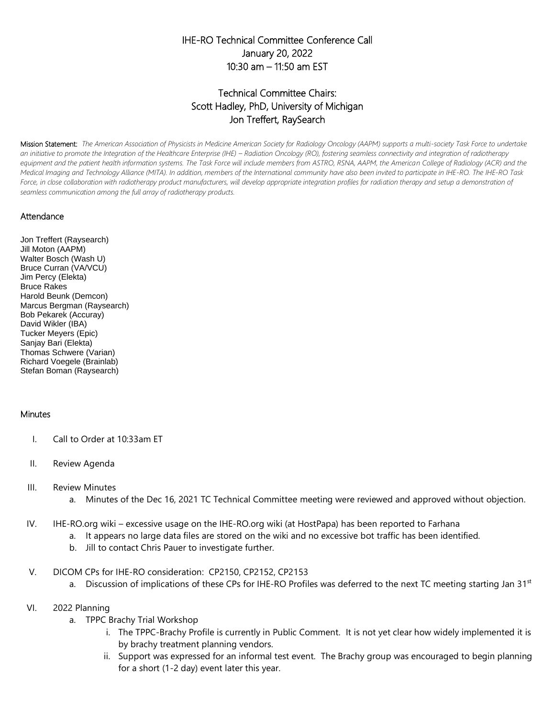## IHE-RO Technical Committee Conference Call January 20, 2022 10:30 am – 11:50 am EST

# Technical Committee Chairs: Scott Hadley, PhD, University of Michigan Jon Treffert, RaySearch

Mission Statement: *The American Association of Physicists in Medicine American Society for Radiology Oncology (AAPM) supports a multi-society Task Force to undertake*  an initiative to promote the Integration of the Healthcare Enterprise (IHE) – Radiation Oncology (RO), fostering seamless connectivity and integration of radiotherapy equipment and the patient health information systems. The Task Force will include members from ASTRO, RSNA, AAPM, the American College of Radiology (ACR) and the *Medical Imaging and Technology Alliance (MITA). In addition, members of the International community have also been invited to participate in IHE-RO. The IHE-RO Task*  Force, in close collaboration with radiotherapy product manufacturers, will develop appropriate integration profiles for radiation therapy and setup a demonstration of *seamless communication among the full array of radiotherapy products.*

#### Attendance

Jon Treffert (Raysearch) Jill Moton (AAPM) Walter Bosch (Wash U) Bruce Curran (VA/VCU) Jim Percy (Elekta) Bruce Rakes Harold Beunk (Demcon) Marcus Bergman (Raysearch) Bob Pekarek (Accuray) David Wikler (IBA) Tucker Meyers (Epic) Sanjay Bari (Elekta) Thomas Schwere (Varian) Richard Voegele (Brainlab) Stefan Boman (Raysearch)

### **Minutes**

- I. Call to Order at 10:33am ET
- II. Review Agenda
- III. Review Minutes
	- a. Minutes of the Dec 16, 2021 TC Technical Committee meeting were reviewed and approved without objection.
- IV. IHE-RO.org wiki excessive usage on the IHE-RO.org wiki (at HostPapa) has been reported to Farhana
	- a. It appears no large data files are stored on the wiki and no excessive bot traffic has been identified.
	- b. Jill to contact Chris Pauer to investigate further.
- V. DICOM CPs for IHE-RO consideration: CP2150, CP2152, CP2153
	- a. Discussion of implications of these CPs for IHE-RO Profiles was deferred to the next TC meeting starting Jan  $31<sup>st</sup>$
- VI. 2022 Planning
	- a. TPPC Brachy Trial Workshop
		- i. The TPPC-Brachy Profile is currently in Public Comment. It is not yet clear how widely implemented it is by brachy treatment planning vendors.
		- ii. Support was expressed for an informal test event. The Brachy group was encouraged to begin planning for a short (1-2 day) event later this year.